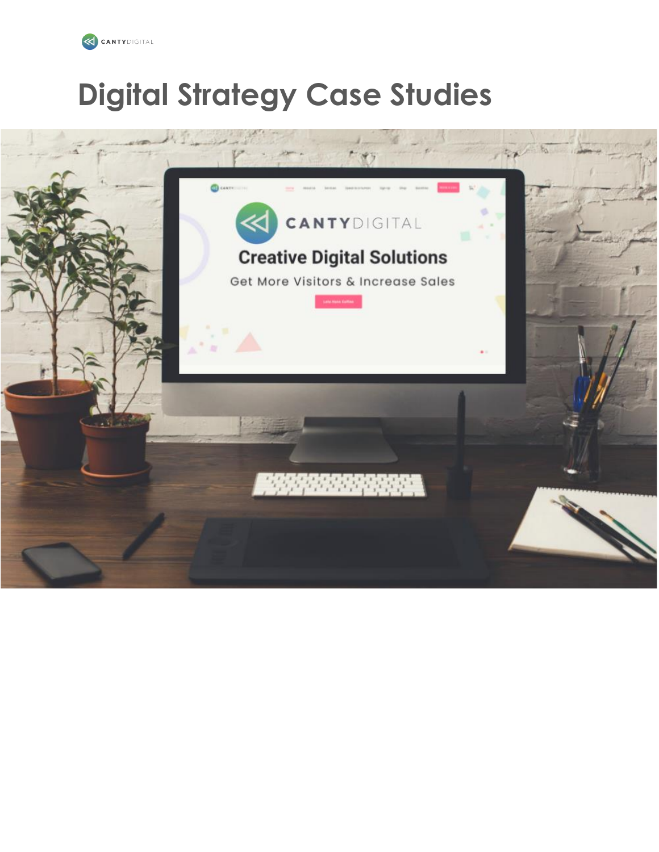

# **Digital Strategy Case Studies**

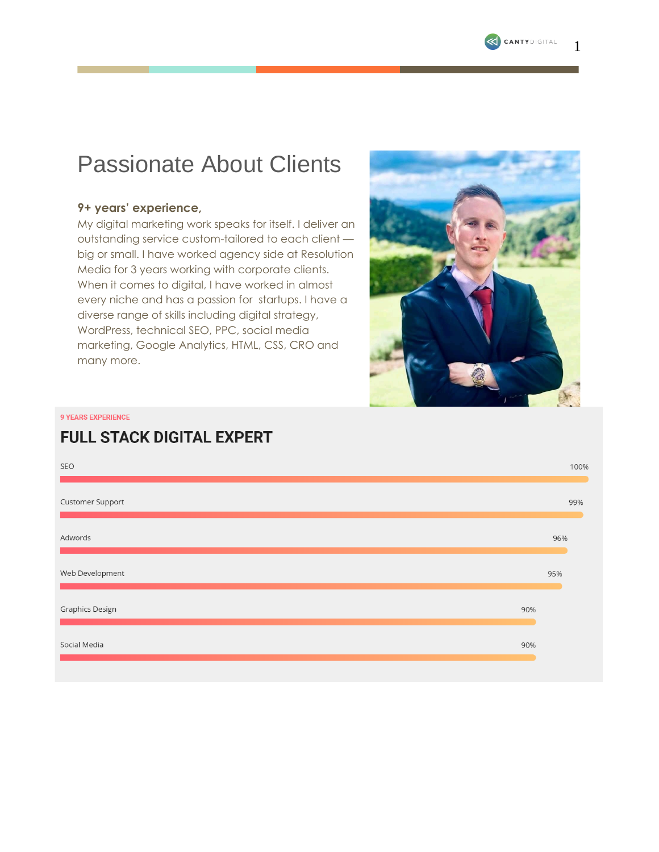

1

# Passionate About Clients

### **9+ years' experience,**

My digital marketing work speaks for itself. I deliver an outstanding service custom-tailored to each client big or small. I have worked agency side at Resolution Media for 3 years working with corporate clients. When it comes to digital, I have worked in almost every niche and has a passion for startups. I have a diverse range of skills including digital strategy, WordPress, technical SEO, PPC, social media marketing, Google Analytics, HTML, CSS, CRO and many more.



**9 YEARS EXPERIENCE** 

## **FULL STACK DIGITAL EXPERT**

| SEO              |     | 100% |
|------------------|-----|------|
| Customer Support |     | 99%  |
| Adwords          |     | 96%  |
| Web Development  |     | 95%  |
| Graphics Design  | 90% |      |
| Social Media     | 90% |      |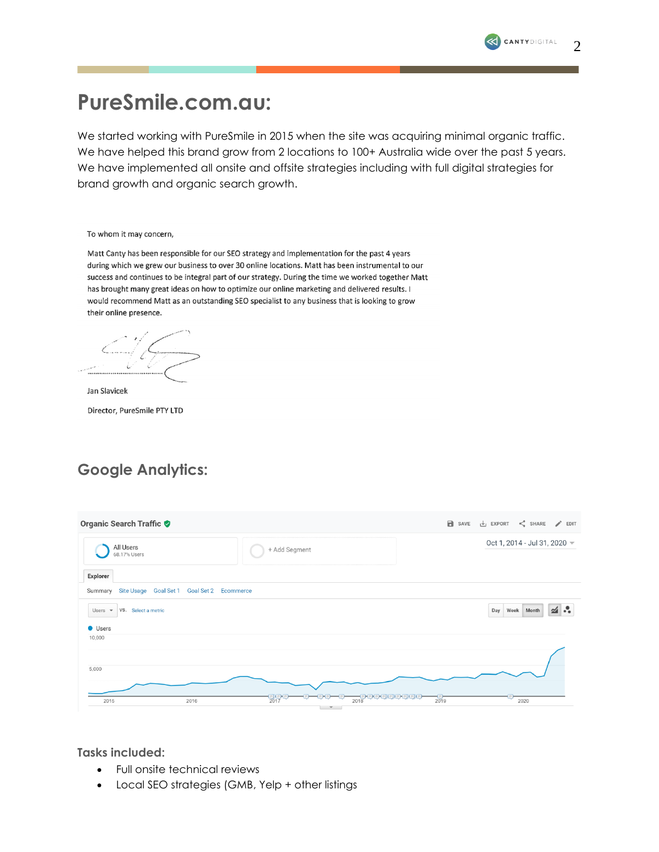# **PureSmile.com.au:**

We started working with PureSmile in 2015 when the site was acquiring minimal organic traffic. We have helped this brand grow from 2 locations to 100+ Australia wide over the past 5 years. We have implemented all onsite and offsite strategies including with full digital strategies for brand growth and organic search growth.

| To whom it may concern, |  |  |  |
|-------------------------|--|--|--|
|-------------------------|--|--|--|

Matt Canty has been responsible for our SEO strategy and implementation for the past 4 years during which we grew our business to over 30 online locations. Matt has been instrumental to our success and continues to be integral part of our strategy. During the time we worked together Matt has brought many great ideas on how to optimize our online marketing and delivered results. I would recommend Matt as an outstanding SEO specialist to any business that is looking to grow their online presence.

Jan Slavicek

Director, PureSmile PTY LTD

## **Google Analytics:**

| Organic Search Traffic                             |                  | <b>B</b> SAVE<br>$\leq$ SHARE $\geq$ EDIT<br>$\overline{\mathsf{L}}$ EXPORT |
|----------------------------------------------------|------------------|-----------------------------------------------------------------------------|
| All Users<br>68.17% Users                          | + Add Segment    | Oct 1, 2014 - Jul 31, 2020 $\blacktriangledown$                             |
| Explorer                                           |                  |                                                                             |
| Summary Site Usage Goal Set 1 Goal Set 2 Ecommerce |                  |                                                                             |
| VS. Select a metric<br>Users $\sqrt{*}$            |                  | $\leq$<br>Week Month<br>Day                                                 |
| <b>Users</b>                                       |                  |                                                                             |
| 10,000                                             |                  |                                                                             |
| 5,000                                              |                  |                                                                             |
| 2016<br>2015                                       | $\frac{1}{2017}$ | $\frac{1}{2019}$<br>2020                                                    |

**Tasks included:**

- Full onsite technical reviews
- Local SEO strategies (GMB, Yelp + other listings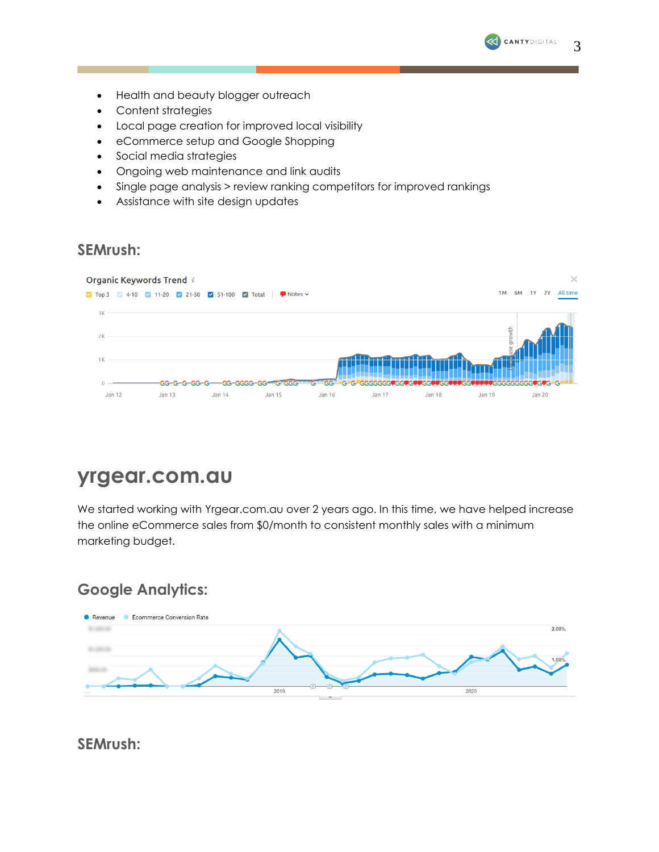- Health and beauty blogger outreach
- Content strategies
- Local page creation for improved local visibility
- eCommerce setup and Google Shopping
- Social media strategies
- Ongoing web maintenance and link audits
- Single page analysis > review ranking competitors for improved rankings
- Assistance with site design updates

### **SEMrush:**



# **yrgear.com.au**

We started working with Yrgear.com.au over 2 years ago. In this time, we have helped increase the online eCommerce sales from \$0/month to consistent monthly sales with a minimum marketing budget.

## **Google Analytics:**



**SEMrush:** 

3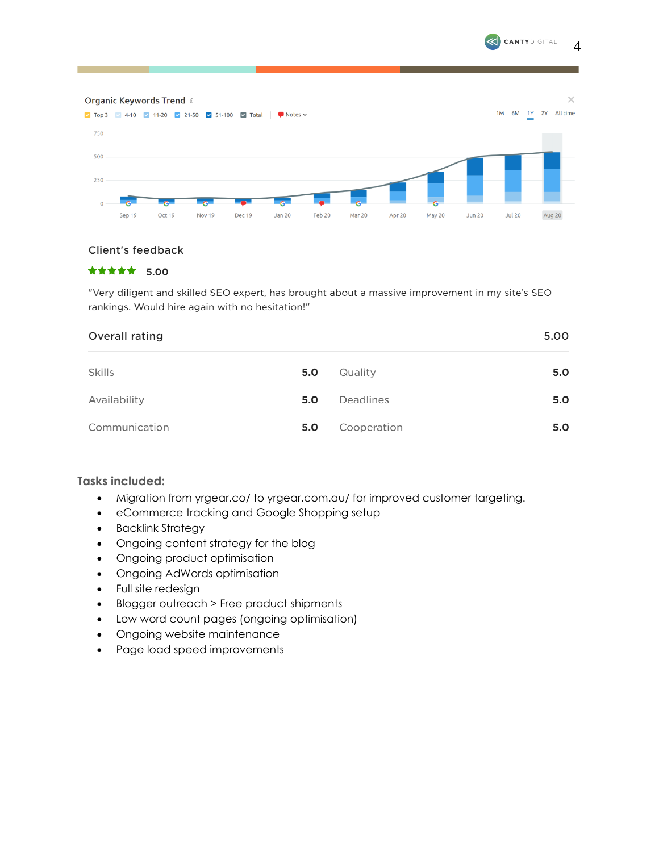

4



#### Client's feedback

#### \*\*\*\*\* 5.00

"Very diligent and skilled SEO expert, has brought about a massive improvement in my site's SEO rankings. Would hire again with no hesitation!"

| Overall rating | 5.00 |             |     |
|----------------|------|-------------|-----|
| Skills         | 5.0  | Quality     | 5.0 |
| Availability   | 5.0  | Deadlines   | 5.0 |
| Communication  | 5.0  | Cooperation | 5.0 |

### **Tasks included:**

- Migration from <yrgear.co/> to [yrgear.com.au/](https://yrgear.com.au/) for improved customer targeting.
- eCommerce tracking and Google Shopping setup
- Backlink Strategy
- Ongoing content strategy for the blog
- Ongoing product optimisation
- Ongoing AdWords optimisation
- Full site redesign
- Blogger outreach > Free product shipments
- Low word count pages (ongoing optimisation)
- Ongoing website maintenance
- Page load speed improvements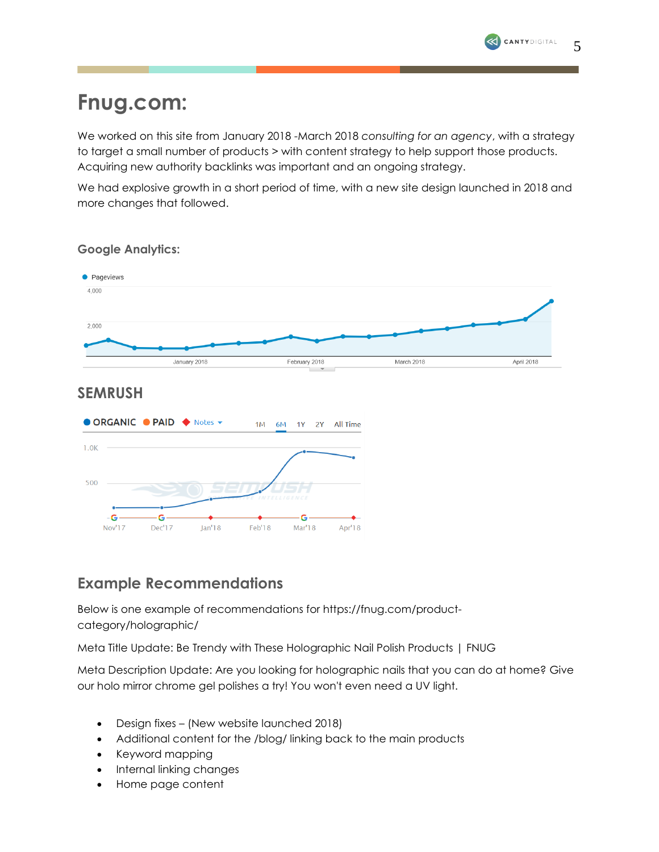# **Fnug.com:**

We worked on this site from January 2018 -March 2018 *consulting for an agency*, with a strategy to target a small number of products > with content strategy to help support those products. Acquiring new authority backlinks was important and an ongoing strategy.

We had explosive growth in a short period of time, with a new site design launched in 2018 and more changes that followed.



### **Google Analytics:**

### **SEMRUSH**



### **Example Recommendations**

Below is one example of recommendations for https://fnug.com/productcategory/holographic/

Meta Title Update: Be Trendy with These Holographic Nail Polish Products | FNUG

Meta Description Update: Are you looking for holographic nails that you can do at home? Give our holo mirror chrome gel polishes a try! You won't even need a UV light.

- Design fixes (New website launched 2018)
- Additional content for the /blog/ linking back to the main products
- Keyword mapping
- Internal linking changes
- Home page content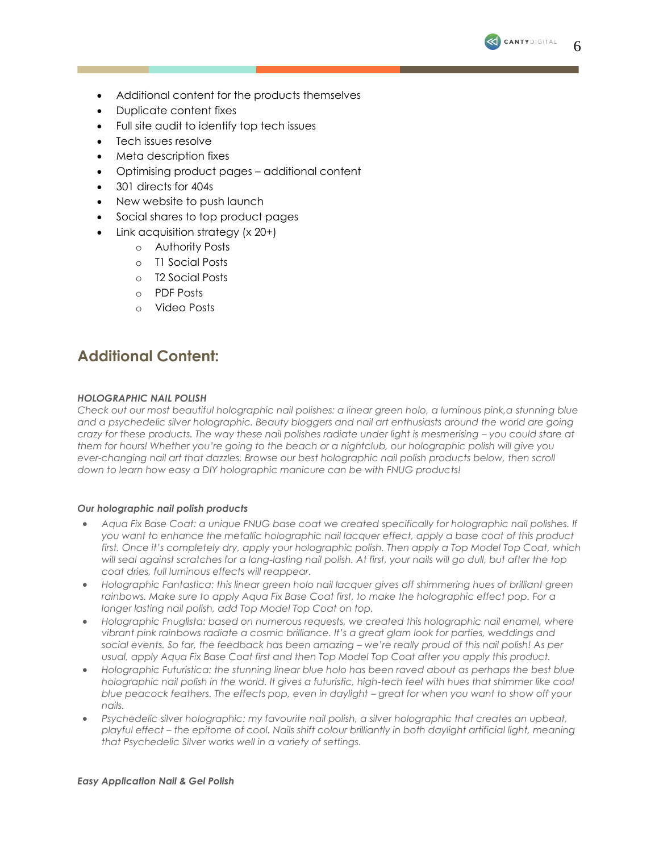

- Additional content for the products themselves
- Duplicate content fixes
- Full site audit to identify top tech issues
- Tech issues resolve
- Meta description fixes
- Optimising product pages additional content
- 301 directs for 404s
- New website to push launch
- Social shares to top product pages
- Link acquisition strategy (x 20+)
	- o Authority Posts
	- o T1 Social Posts
	- o T2 Social Posts
	- o PDF Posts
	- o Video Posts

### **Additional Content:**

#### *HOLOGRAPHIC NAIL POLISH*

*Check out our most beautiful holographic nail polishes: a linear green holo, a luminous pink,a stunning blue and a psychedelic silver holographic. Beauty bloggers and nail art enthusiasts around the world are going crazy for these products. The way these nail polishes radiate under light is mesmerising – you could stare at them for hours! Whether you're going to the beach or a nightclub, our holographic polish will give you ever-changing nail art that dazzles. Browse our best holographic nail polish products below, then scroll down to learn how easy a DIY holographic manicure can be with FNUG products!*

#### *Our holographic nail polish products*

- *[Aqua Fix Base Coat:](https://fnug.com/product/aqua-fix-basecoat/) a unique FNUG base coat we created specifically for holographic nail polishes. If you want to enhance the metallic holographic nail lacquer effect, apply a base coat of this product first. Once it's completely dry, apply your holographic polish. Then apply a Top Model Top Coat, which will seal against scratches for a long-lasting nail polish. At first, your nails will go dull, but after the top coat dries, full luminous effects will reappear.*
- *[Holographic Fantastica:](https://fnug.com/product/holographic-fantastica/) this linear green holo nail lacquer gives off shimmering hues of brilliant green*  rainbows. Make sure to apply Aqua Fix Base Coat first, to make the holographic effect pop. For a *longer lasting nail polish, add Top Model Top Coat on top.*
- *[Holographic Fnuglista:](https://fnug.com/product/fnuglista/) based on numerous requests, we created this holographic nail enamel, where vibrant pink rainbows radiate a cosmic brilliance. It's a great glam look for parties, weddings and*  social events. So far, the feedback has been amazing – we're really proud of this nail polish! As per *usual, apply Aqua Fix Base Coat first and then Top Model Top Coat after you apply this product.*
- *[Holographic Futuristica:](https://fnug.com/product/holographic-futuristica/) the stunning linear blue holo has been raved about as perhaps the best blue*  holographic nail polish in the world. It gives a futuristic, high-tech feel with hues that shimmer like cool *blue peacock feathers. The effects pop, even in daylight – great for when you want to show off your nails.*
- *[Psychedelic silver holographic:](https://fnug.com/product/holographic-psychedelic/) my favourite nail polish, a silver holographic that creates an upbeat, playful effect – the epitome of cool. Nails shift colour brilliantly in both daylight artificial light, meaning that Psychedelic Silver works well in a variety of settings.*

#### *Easy Application Nail & Gel Polish*

6